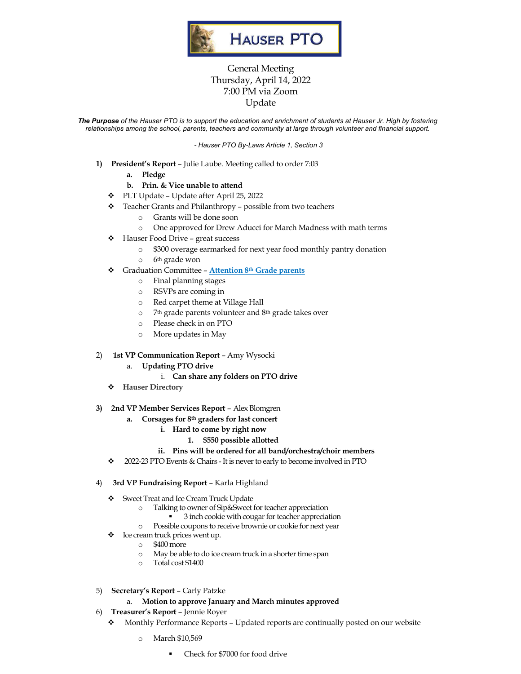

# General Meeting Thursday, April 14, 2022 7:00 PM via Zoom Update

The Purpose of the Hauser PTO is to support the education and enrichment of students at Hauser Jr. High by fostering *relationships among the school, parents, teachers and community at large through volunteer and financial support.*

*- Hauser PTO By-Laws Article 1, Section 3*

- **1) President's Report** Julie Laube. Meeting called to order 7:03
	- **a. Pledge**
	- **b. Prin. & Vice unable to attend**
	- v PLT Update Update after April 25, 2022
	- v Teacher Grants and Philanthropy possible from two teachers
		- o Grants will be done soon
		- o One approved for Drew Aducci for March Madness with math terms
	- v Hauser Food Drive great success
		- o \$300 overage earmarked for next year food monthly pantry donation
		- o 6th grade won
	- v Graduation Committee **Attention 8th Grade parents**
		- o Final planning stages
		- o RSVPs are coming in
		- o Red carpet theme at Village Hall
		- o 7th grade parents volunteer and 8th grade takes over
		- o Please check in on PTO
		- o More updates in May

#### 2) **1st VP Communication Report** – Amy Wysocki

- a. **Updating PTO drive** 
	- i. **Can share any folders on PTO drive**
- v **Hauser Directory**
- **3) 2nd VP Member Services Report**  Alex Blomgren
	- **a. Corsages for 8th graders for last concert**
		- **i. Hard to come by right now**
			- **1. \$550 possible allotted**

#### **ii. Pins will be ordered for all band/orchestra/choir members**

- 2022-23 PTO Events & Chairs It is never to early to become involved in PTO
- 4) **3rd VP Fundraising Report**  Karla Highland
	- v Sweet Treat and Ice Cream Truck Update
		- o Talking to owner of Sip&Sweet for teacher appreciation
			- § 3 inch cookie with cougar for teacher appreciation
		- o Possible coupons to receive brownie or cookie for next year
	- $\bullet$  Ice cream truck prices went up.
		- o \$400 more
		- o May be able to do ice cream truck in a shorter time span
		- o Total cost \$1400
- 5) **Secretary's Report** Carly Patzke

#### a. **Motion to approve January and March minutes approved**

- 6) **Treasurer's Report** Jennie Royer
	- v Monthly Performance Reports Updated reports are continually posted on our website
		- o March \$10,569
			- § Check for \$7000 for food drive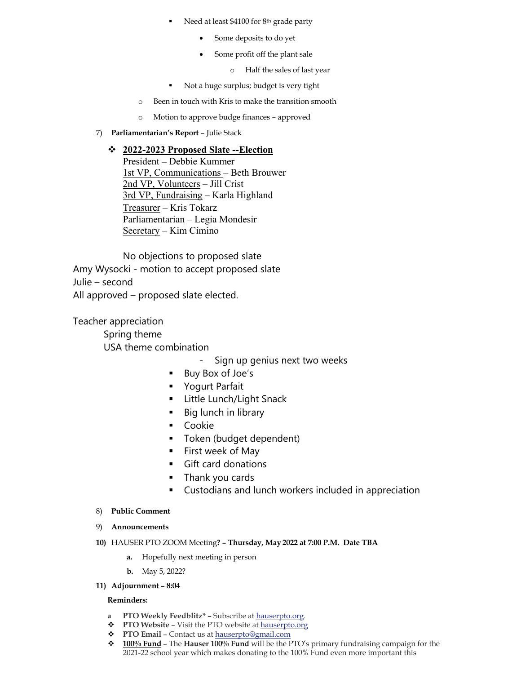- Need at least \$4100 for 8<sup>th</sup> grade party
	- Some deposits to do yet
	- Some profit off the plant sale
		- o Half the sales of last year
- § Not a huge surplus; budget is very tight
- o Been in touch with Kris to make the transition smooth
- o Motion to approve budge finances approved
- 7) **Parliamentarian's Report** Julie Stack

## v **2022-2023 Proposed Slate --Election**

President **–** Debbie Kummer 1st VP, Communications – Beth Brouwer 2nd VP, Volunteers – Jill Crist 3rd VP, Fundraising – Karla Highland Treasurer – Kris Tokarz Parliamentarian – Legia Mondesir Secretary – Kim Cimino

No objections to proposed slate

Amy Wysocki - motion to accept proposed slate

Julie – second

All approved – proposed slate elected.

Teacher appreciation Spring theme USA theme combination

- Sign up genius next two weeks
- § Buy Box of Joe's
- § Yogurt Parfait
- § Little Lunch/Light Snack
- Big lunch in library
- § Cookie
- § Token (budget dependent)
- First week of May
- Gift card donations
- § Thank you cards
- § Custodians and lunch workers included in appreciation
- 8) **Public Comment**
- 9) **Announcements**
- **10)** HAUSER PTO ZOOM Meeting**? – Thursday, May 2022 at 7:00 P.M. Date TBA**
	- **a.** Hopefully next meeting in person
	- **b.** May 5, 2022?
- **11) Adjournment – 8:04**

### **Reminders:**

- **a PTO Weekly Feedblitz\* –** Subscribe at hauserpto.org.
- **PTO Website** Visit the PTO website at hauserpto.org
- v **PTO Email** Contact us at hauserpto@gmail.com
- v **100% Fund** The **Hauser 100% Fund** will be the PTO's primary fundraising campaign for the 2021-22 school year which makes donating to the 100% Fund even more important this